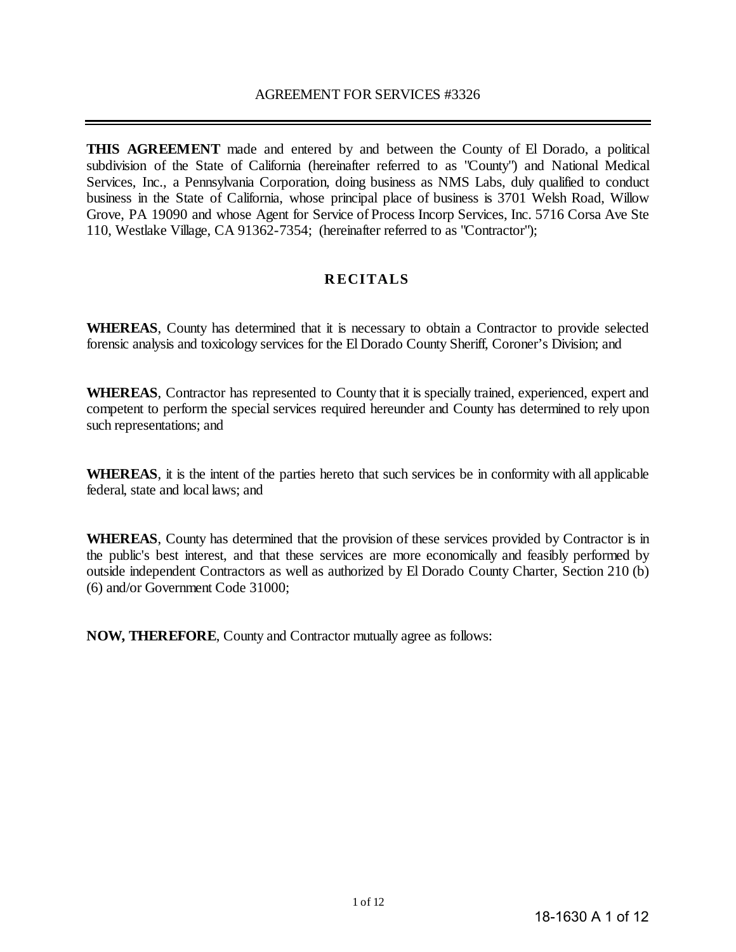**THIS AGREEMENT** made and entered by and between the County of El Dorado, a political subdivision of the State of California (hereinafter referred to as "County") and National Medical Services, Inc., a Pennsylvania Corporation, doing business as NMS Labs, duly qualified to conduct business in the State of California, whose principal place of business is 3701 Welsh Road, Willow Grove, PA 19090 and whose Agent for Service of Process Incorp Services, Inc. 5716 Corsa Ave Ste 110, Westlake Village, CA 91362-7354; (hereinafter referred to as "Contractor");

# **R ECITALS**

**WHEREAS**, County has determined that it is necessary to obtain a Contractor to provide selected forensic analysis and toxicology services for the El Dorado County Sheriff, Coroner's Division; and

**WHEREAS**, Contractor has represented to County that it is specially trained, experienced, expert and competent to perform the special services required hereunder and County has determined to rely upon such representations; and

**WHEREAS**, it is the intent of the parties hereto that such services be in conformity with all applicable federal, state and local laws; and

**WHEREAS**, County has determined that the provision of these services provided by Contractor is in the public's best interest, and that these services are more economically and feasibly performed by outside independent Contractors as well as authorized by El Dorado County Charter, Section 210 (b) (6) and/or Government Code 31000;

**NOW, THEREFORE**, County and Contractor mutually agree as follows: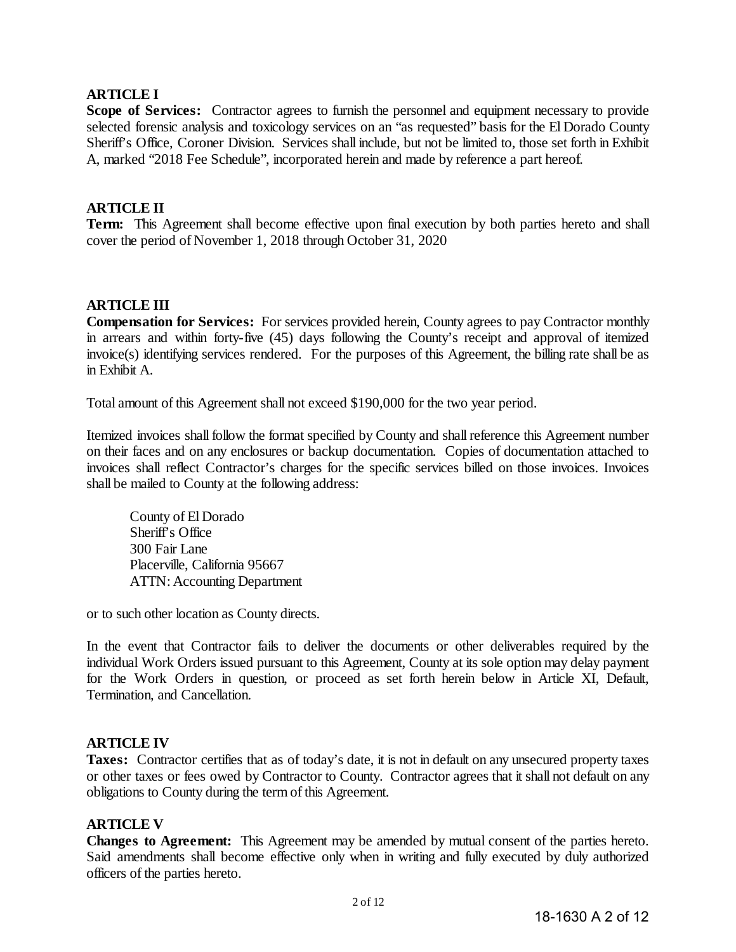### **ARTICLE I**

**Scope of Services:** Contractor agrees to furnish the personnel and equipment necessary to provide selected forensic analysis and toxicology services on an "as requested" basis for the El Dorado County Sheriff's Office, Coroner Division. Services shall include, but not be limited to, those set forth in Exhibit A, marked "2018 Fee Schedule", incorporated herein and made by reference a part hereof.

### **ARTICLE II**

**Term:** This Agreement shall become effective upon final execution by both parties hereto and shall cover the period of November 1, 2018 through October 31, 2020

### **ARTICLE III**

**Compensation for Services:** For services provided herein, County agrees to pay Contractor monthly in arrears and within forty-five (45) days following the County's receipt and approval of itemized invoice(s) identifying services rendered. For the purposes of this Agreement, the billing rate shall be as in Exhibit A.

Total amount of this Agreement shall not exceed \$190,000 for the two year period.

Itemized invoices shall follow the format specified by County and shall reference this Agreement number on their faces and on any enclosures or backup documentation. Copies of documentation attached to invoices shall reflect Contractor's charges for the specific services billed on those invoices. Invoices shall be mailed to County at the following address:

County of El Dorado Sheriff's Office 300 Fair Lane Placerville, California 95667 ATTN: Accounting Department

or to such other location as County directs.

In the event that Contractor fails to deliver the documents or other deliverables required by the individual Work Orders issued pursuant to this Agreement, County at its sole option may delay payment for the Work Orders in question, or proceed as set forth herein below in Article XI, Default, Termination, and Cancellation.

### **ARTICLE IV**

**Taxes:** Contractor certifies that as of today's date, it is not in default on any unsecured property taxes or other taxes or fees owed by Contractor to County. Contractor agrees that it shall not default on any obligations to County during the term of this Agreement.

### **ARTICLE V**

**Changes to Agreement:** This Agreement may be amended by mutual consent of the parties hereto. Said amendments shall become effective only when in writing and fully executed by duly authorized officers of the parties hereto.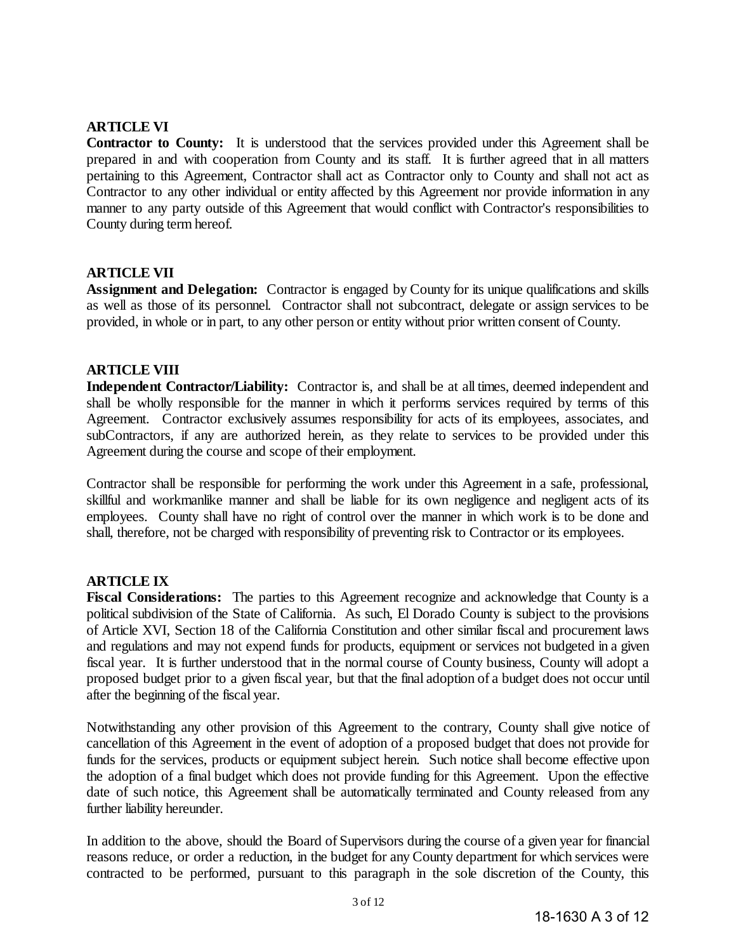### **ARTICLE VI**

**Contractor to County:** It is understood that the services provided under this Agreement shall be prepared in and with cooperation from County and its staff. It is further agreed that in all matters pertaining to this Agreement, Contractor shall act as Contractor only to County and shall not act as Contractor to any other individual or entity affected by this Agreement nor provide information in any manner to any party outside of this Agreement that would conflict with Contractor's responsibilities to County during term hereof.

### **ARTICLE VII**

**Assignment and Delegation:** Contractor is engaged by County for its unique qualifications and skills as well as those of its personnel. Contractor shall not subcontract, delegate or assign services to be provided, in whole or in part, to any other person or entity without prior written consent of County.

### **ARTICLE VIII**

**Independent Contractor/Liability:** Contractor is, and shall be at all times, deemed independent and shall be wholly responsible for the manner in which it performs services required by terms of this Agreement. Contractor exclusively assumes responsibility for acts of its employees, associates, and subContractors, if any are authorized herein, as they relate to services to be provided under this Agreement during the course and scope of their employment.

Contractor shall be responsible for performing the work under this Agreement in a safe, professional, skillful and workmanlike manner and shall be liable for its own negligence and negligent acts of its employees. County shall have no right of control over the manner in which work is to be done and shall, therefore, not be charged with responsibility of preventing risk to Contractor or its employees.

### **ARTICLE IX**

**Fiscal Considerations:** The parties to this Agreement recognize and acknowledge that County is a political subdivision of the State of California. As such, El Dorado County is subject to the provisions of Article XVI, Section 18 of the California Constitution and other similar fiscal and procurement laws and regulations and may not expend funds for products, equipment or services not budgeted in a given fiscal year. It is further understood that in the normal course of County business, County will adopt a proposed budget prior to a given fiscal year, but that the final adoption of a budget does not occur until after the beginning of the fiscal year.

Notwithstanding any other provision of this Agreement to the contrary, County shall give notice of cancellation of this Agreement in the event of adoption of a proposed budget that does not provide for funds for the services, products or equipment subject herein. Such notice shall become effective upon the adoption of a final budget which does not provide funding for this Agreement. Upon the effective date of such notice, this Agreement shall be automatically terminated and County released from any further liability hereunder.

In addition to the above, should the Board of Supervisors during the course of a given year for financial reasons reduce, or order a reduction, in the budget for any County department for which services were contracted to be performed, pursuant to this paragraph in the sole discretion of the County, this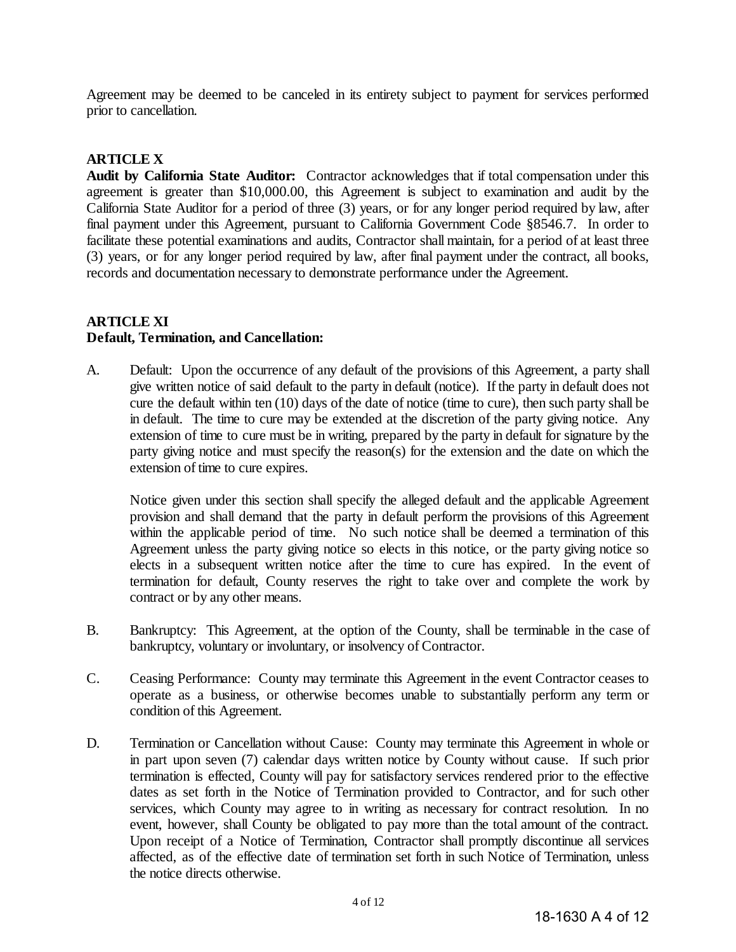Agreement may be deemed to be canceled in its entirety subject to payment for services performed prior to cancellation.

# **ARTICLE X**

**Audit by California State Auditor:** Contractor acknowledges that if total compensation under this agreement is greater than \$10,000.00, this Agreement is subject to examination and audit by the California State Auditor for a period of three (3) years, or for any longer period required by law, after final payment under this Agreement, pursuant to California Government Code §8546.7. In order to facilitate these potential examinations and audits, Contractor shall maintain, for a period of at least three (3) years, or for any longer period required by law, after final payment under the contract, all books, records and documentation necessary to demonstrate performance under the Agreement.

## **ARTICLE XI Default, Termination, and Cancellation:**

A. Default: Upon the occurrence of any default of the provisions of this Agreement, a party shall give written notice of said default to the party in default (notice). If the party in default does not cure the default within ten (10) days of the date of notice (time to cure), then such party shall be in default. The time to cure may be extended at the discretion of the party giving notice. Any extension of time to cure must be in writing, prepared by the party in default for signature by the party giving notice and must specify the reason(s) for the extension and the date on which the extension of time to cure expires.

Notice given under this section shall specify the alleged default and the applicable Agreement provision and shall demand that the party in default perform the provisions of this Agreement within the applicable period of time. No such notice shall be deemed a termination of this Agreement unless the party giving notice so elects in this notice, or the party giving notice so elects in a subsequent written notice after the time to cure has expired. In the event of termination for default, County reserves the right to take over and complete the work by contract or by any other means.

- B. Bankruptcy: This Agreement, at the option of the County, shall be terminable in the case of bankruptcy, voluntary or involuntary, or insolvency of Contractor.
- C. Ceasing Performance: County may terminate this Agreement in the event Contractor ceases to operate as a business, or otherwise becomes unable to substantially perform any term or condition of this Agreement.
- D. Termination or Cancellation without Cause: County may terminate this Agreement in whole or in part upon seven (7) calendar days written notice by County without cause. If such prior termination is effected, County will pay for satisfactory services rendered prior to the effective dates as set forth in the Notice of Termination provided to Contractor, and for such other services, which County may agree to in writing as necessary for contract resolution. In no event, however, shall County be obligated to pay more than the total amount of the contract. Upon receipt of a Notice of Termination, Contractor shall promptly discontinue all services affected, as of the effective date of termination set forth in such Notice of Termination, unless the notice directs otherwise.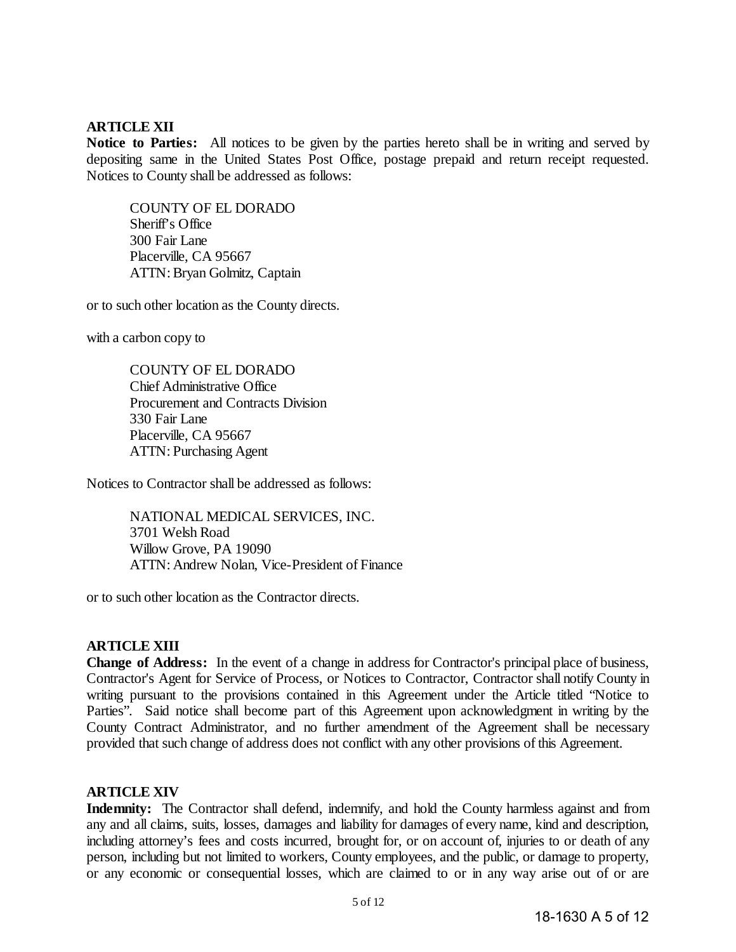#### **ARTICLE XII**

**Notice to Parties:** All notices to be given by the parties hereto shall be in writing and served by depositing same in the United States Post Office, postage prepaid and return receipt requested. Notices to County shall be addressed as follows:

COUNTY OF EL DORADO Sheriff's Office 300 Fair Lane Placerville, CA 95667 ATTN: Bryan Golmitz, Captain

or to such other location as the County directs.

with a carbon copy to

COUNTY OF EL DORADO Chief Administrative Office Procurement and Contracts Division 330 Fair Lane Placerville, CA 95667 ATTN: Purchasing Agent

Notices to Contractor shall be addressed as follows:

NATIONAL MEDICAL SERVICES, INC. 3701 Welsh Road Willow Grove, PA 19090 ATTN: Andrew Nolan, Vice-President of Finance

or to such other location as the Contractor directs.

#### **ARTICLE XIII**

**Change of Address:** In the event of a change in address for Contractor's principal place of business, Contractor's Agent for Service of Process, or Notices to Contractor, Contractor shall notify County in writing pursuant to the provisions contained in this Agreement under the Article titled "Notice to Parties". Said notice shall become part of this Agreement upon acknowledgment in writing by the County Contract Administrator, and no further amendment of the Agreement shall be necessary provided that such change of address does not conflict with any other provisions of this Agreement.

#### **ARTICLE XIV**

**Indemnity:** The Contractor shall defend, indemnify, and hold the County harmless against and from any and all claims, suits, losses, damages and liability for damages of every name, kind and description, including attorney's fees and costs incurred, brought for, or on account of, injuries to or death of any person, including but not limited to workers, County employees, and the public, or damage to property, or any economic or consequential losses, which are claimed to or in any way arise out of or are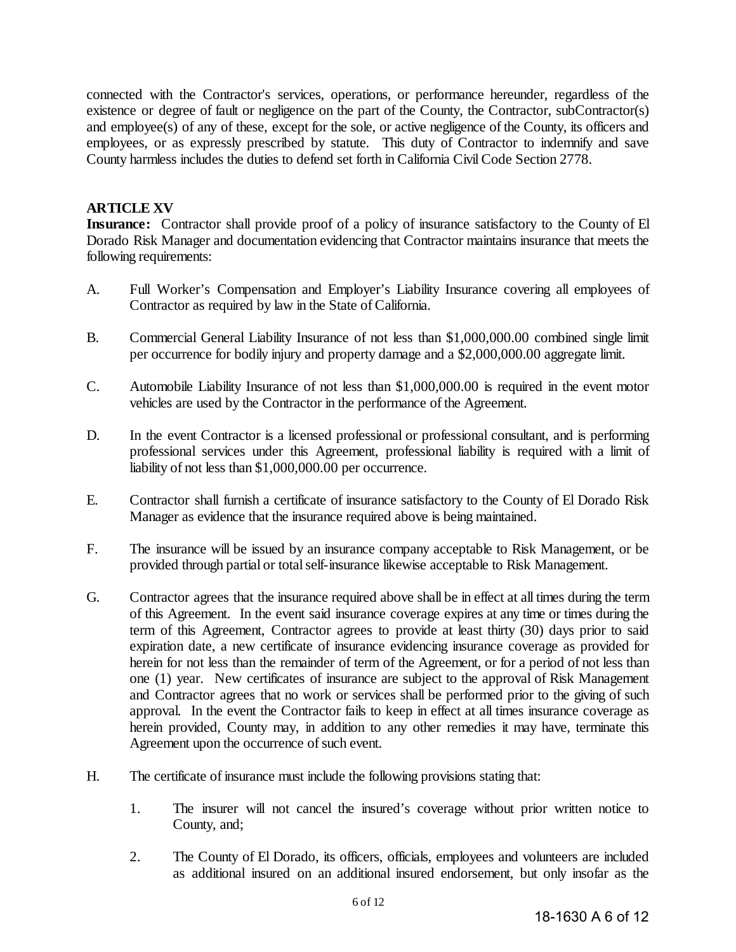connected with the Contractor's services, operations, or performance hereunder, regardless of the existence or degree of fault or negligence on the part of the County, the Contractor, subContractor(s) and employee(s) of any of these, except for the sole, or active negligence of the County, its officers and employees, or as expressly prescribed by statute. This duty of Contractor to indemnify and save County harmless includes the duties to defend set forth in California Civil Code Section 2778.

### **ARTICLE XV**

**Insurance:** Contractor shall provide proof of a policy of insurance satisfactory to the County of El Dorado Risk Manager and documentation evidencing that Contractor maintains insurance that meets the following requirements:

- A. Full Worker's Compensation and Employer's Liability Insurance covering all employees of Contractor as required by law in the State of California.
- B. Commercial General Liability Insurance of not less than \$1,000,000.00 combined single limit per occurrence for bodily injury and property damage and a \$2,000,000.00 aggregate limit.
- C. Automobile Liability Insurance of not less than \$1,000,000.00 is required in the event motor vehicles are used by the Contractor in the performance of the Agreement.
- D. In the event Contractor is a licensed professional or professional consultant, and is performing professional services under this Agreement, professional liability is required with a limit of liability of not less than \$1,000,000.00 per occurrence.
- E. Contractor shall furnish a certificate of insurance satisfactory to the County of El Dorado Risk Manager as evidence that the insurance required above is being maintained.
- F. The insurance will be issued by an insurance company acceptable to Risk Management, or be provided through partial or total self-insurance likewise acceptable to Risk Management.
- G. Contractor agrees that the insurance required above shall be in effect at all times during the term of this Agreement. In the event said insurance coverage expires at any time or times during the term of this Agreement, Contractor agrees to provide at least thirty (30) days prior to said expiration date, a new certificate of insurance evidencing insurance coverage as provided for herein for not less than the remainder of term of the Agreement, or for a period of not less than one (1) year. New certificates of insurance are subject to the approval of Risk Management and Contractor agrees that no work or services shall be performed prior to the giving of such approval. In the event the Contractor fails to keep in effect at all times insurance coverage as herein provided, County may, in addition to any other remedies it may have, terminate this Agreement upon the occurrence of such event.
- H. The certificate of insurance must include the following provisions stating that:
	- 1. The insurer will not cancel the insured's coverage without prior written notice to County, and;
	- 2. The County of El Dorado, its officers, officials, employees and volunteers are included as additional insured on an additional insured endorsement, but only insofar as the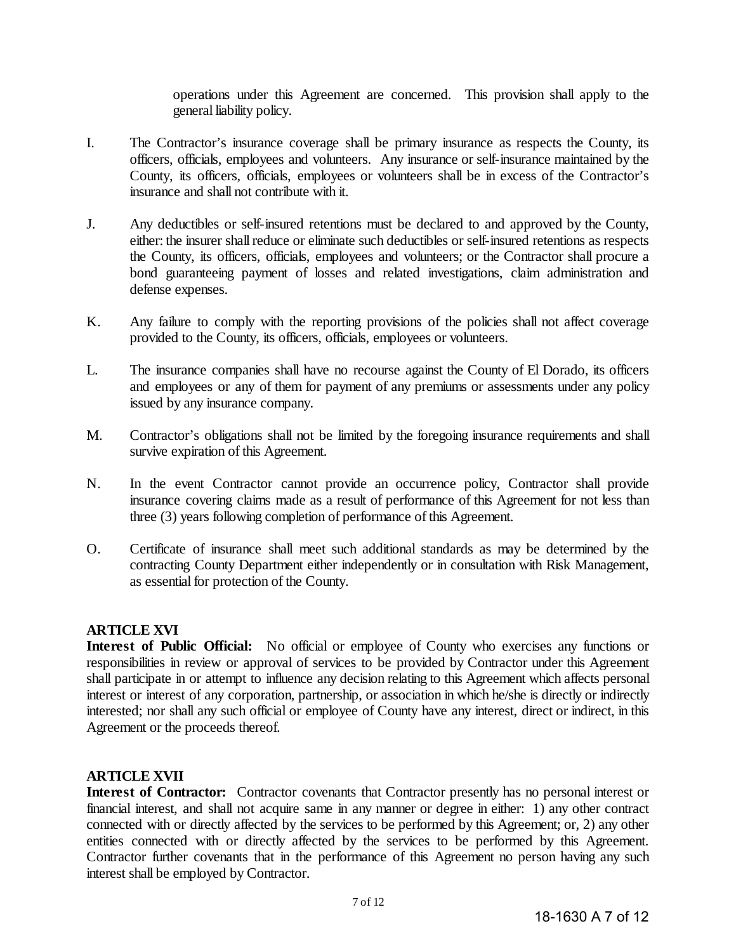operations under this Agreement are concerned. This provision shall apply to the general liability policy.

- I. The Contractor's insurance coverage shall be primary insurance as respects the County, its officers, officials, employees and volunteers. Any insurance or self-insurance maintained by the County, its officers, officials, employees or volunteers shall be in excess of the Contractor's insurance and shall not contribute with it.
- J. Any deductibles or self-insured retentions must be declared to and approved by the County, either: the insurer shall reduce or eliminate such deductibles or self-insured retentions as respects the County, its officers, officials, employees and volunteers; or the Contractor shall procure a bond guaranteeing payment of losses and related investigations, claim administration and defense expenses.
- K. Any failure to comply with the reporting provisions of the policies shall not affect coverage provided to the County, its officers, officials, employees or volunteers.
- L. The insurance companies shall have no recourse against the County of El Dorado, its officers and employees or any of them for payment of any premiums or assessments under any policy issued by any insurance company.
- M. Contractor's obligations shall not be limited by the foregoing insurance requirements and shall survive expiration of this Agreement.
- N. In the event Contractor cannot provide an occurrence policy, Contractor shall provide insurance covering claims made as a result of performance of this Agreement for not less than three (3) years following completion of performance of this Agreement.
- O. Certificate of insurance shall meet such additional standards as may be determined by the contracting County Department either independently or in consultation with Risk Management, as essential for protection of the County.

## **ARTICLE XVI**

Interest of Public Official: No official or employee of County who exercises any functions or responsibilities in review or approval of services to be provided by Contractor under this Agreement shall participate in or attempt to influence any decision relating to this Agreement which affects personal interest or interest of any corporation, partnership, or association in which he/she is directly or indirectly interested; nor shall any such official or employee of County have any interest, direct or indirect, in this Agreement or the proceeds thereof.

## **ARTICLE XVII**

**Interest of Contractor:** Contractor covenants that Contractor presently has no personal interest or financial interest, and shall not acquire same in any manner or degree in either: 1) any other contract connected with or directly affected by the services to be performed by this Agreement; or, 2) any other entities connected with or directly affected by the services to be performed by this Agreement. Contractor further covenants that in the performance of this Agreement no person having any such interest shall be employed by Contractor.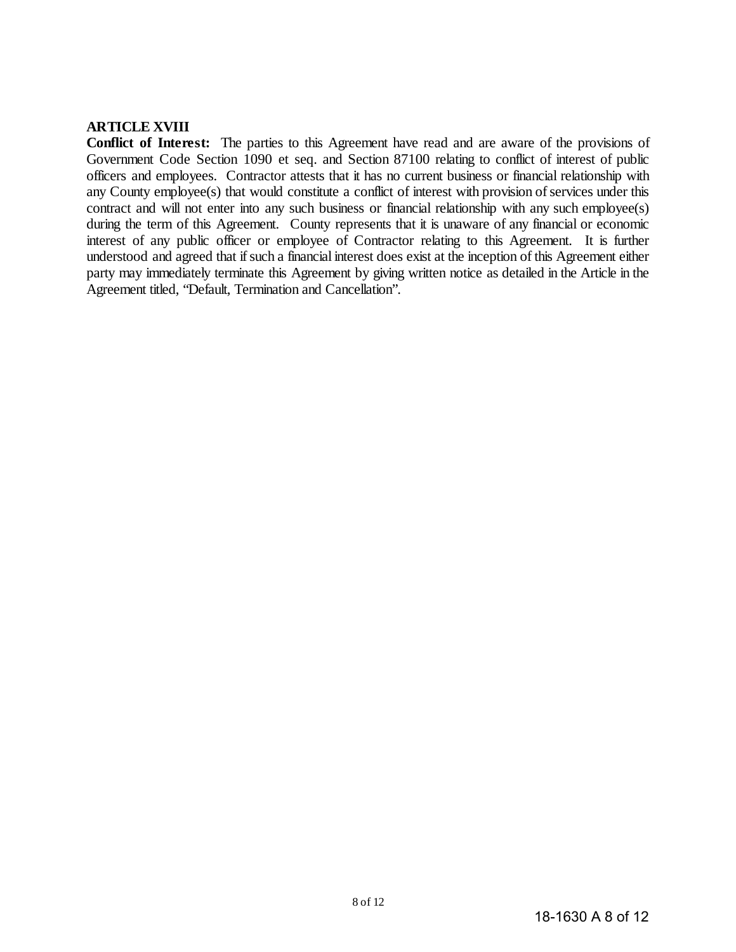### **ARTICLE XVIII**

**Conflict of Interest:** The parties to this Agreement have read and are aware of the provisions of Government Code Section 1090 et seq. and Section 87100 relating to conflict of interest of public officers and employees. Contractor attests that it has no current business or financial relationship with any County employee(s) that would constitute a conflict of interest with provision of services under this contract and will not enter into any such business or financial relationship with any such employee(s) during the term of this Agreement. County represents that it is unaware of any financial or economic interest of any public officer or employee of Contractor relating to this Agreement. It is further understood and agreed that if such a financial interest does exist at the inception of this Agreement either party may immediately terminate this Agreement by giving written notice as detailed in the Article in the Agreement titled, "Default, Termination and Cancellation".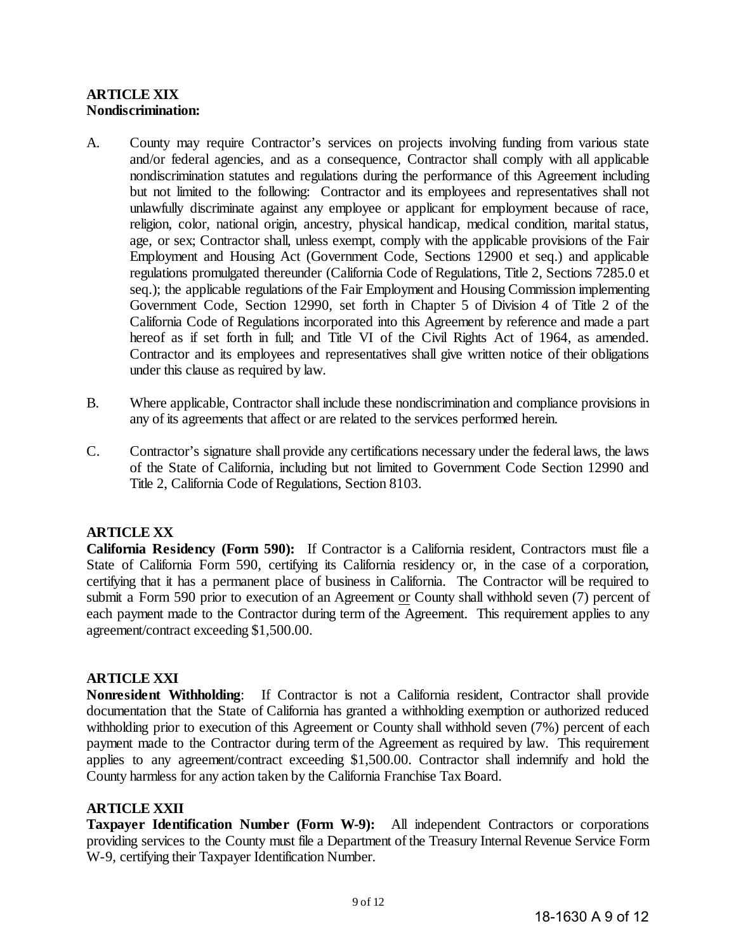### **ARTICLE XIX Nondiscrimination:**

- A. County may require Contractor's services on projects involving funding from various state and/or federal agencies, and as a consequence, Contractor shall comply with all applicable nondiscrimination statutes and regulations during the performance of this Agreement including but not limited to the following: Contractor and its employees and representatives shall not unlawfully discriminate against any employee or applicant for employment because of race, religion, color, national origin, ancestry, physical handicap, medical condition, marital status, age, or sex; Contractor shall, unless exempt, comply with the applicable provisions of the Fair Employment and Housing Act (Government Code, Sections 12900 et seq.) and applicable regulations promulgated thereunder (California Code of Regulations, Title 2, Sections 7285.0 et seq.); the applicable regulations of the Fair Employment and Housing Commission implementing Government Code, Section 12990, set forth in Chapter 5 of Division 4 of Title 2 of the California Code of Regulations incorporated into this Agreement by reference and made a part hereof as if set forth in full; and Title VI of the Civil Rights Act of 1964, as amended. Contractor and its employees and representatives shall give written notice of their obligations under this clause as required by law.
- B. Where applicable, Contractor shall include these nondiscrimination and compliance provisions in any of its agreements that affect or are related to the services performed herein.
- C. Contractor's signature shall provide any certifications necessary under the federal laws, the laws of the State of California, including but not limited to Government Code Section 12990 and Title 2, California Code of Regulations, Section 8103.

## **ARTICLE XX**

**California Residency (Form 590):** If Contractor is a California resident, Contractors must file a State of California Form 590, certifying its California residency or, in the case of a corporation, certifying that it has a permanent place of business in California. The Contractor will be required to submit a Form 590 prior to execution of an Agreement or County shall withhold seven (7) percent of each payment made to the Contractor during term of the Agreement. This requirement applies to any agreement/contract exceeding \$1,500.00.

## **ARTICLE XXI**

**Nonresident Withholding**: If Contractor is not a California resident, Contractor shall provide documentation that the State of California has granted a withholding exemption or authorized reduced withholding prior to execution of this Agreement or County shall withhold seven (7%) percent of each payment made to the Contractor during term of the Agreement as required by law. This requirement applies to any agreement/contract exceeding \$1,500.00. Contractor shall indemnify and hold the County harmless for any action taken by the California Franchise Tax Board.

### **ARTICLE XXII**

**Taxpayer Identification Number (Form W-9):** All independent Contractors or corporations providing services to the County must file a Department of the Treasury Internal Revenue Service Form W-9, certifying their Taxpayer Identification Number.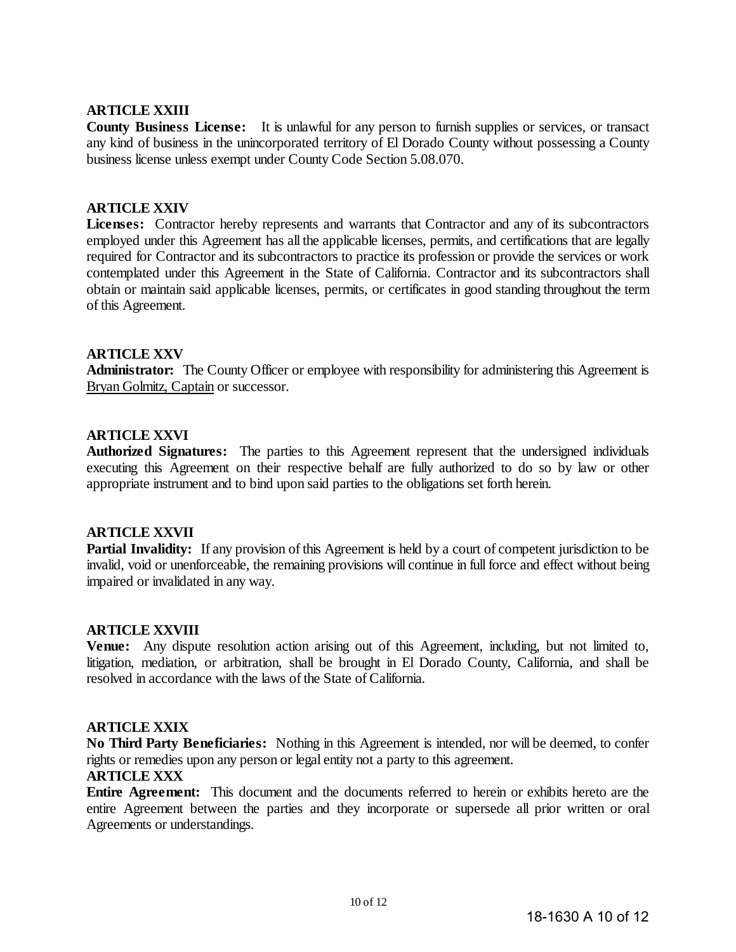### **ARTICLE XXIII**

**County Business License:** It is unlawful for any person to furnish supplies or services, or transact any kind of business in the unincorporated territory of El Dorado County without possessing a County business license unless exempt under County Code Section 5.08.070.

#### **ARTICLE XXIV**

**Licenses:** Contractor hereby represents and warrants that Contractor and any of its subcontractors employed under this Agreement has all the applicable licenses, permits, and certifications that are legally required for Contractor and its subcontractors to practice its profession or provide the services or work contemplated under this Agreement in the State of California. Contractor and its subcontractors shall obtain or maintain said applicable licenses, permits, or certificates in good standing throughout the term of this Agreement.

#### **ARTICLE XXV**

**Administrator:** The County Officer or employee with responsibility for administering this Agreement is Bryan Golmitz, Captain or successor.

#### **ARTICLE XXVI**

**Authorized Signatures:** The parties to this Agreement represent that the undersigned individuals executing this Agreement on their respective behalf are fully authorized to do so by law or other appropriate instrument and to bind upon said parties to the obligations set forth herein.

### **ARTICLE XXVII**

**Partial Invalidity:** If any provision of this Agreement is held by a court of competent jurisdiction to be invalid, void or unenforceable, the remaining provisions will continue in full force and effect without being impaired or invalidated in any way.

#### **ARTICLE XXVIII**

**Venue:** Any dispute resolution action arising out of this Agreement, including, but not limited to, litigation, mediation, or arbitration, shall be brought in El Dorado County, California, and shall be resolved in accordance with the laws of the State of California.

#### **ARTICLE XXIX**

**No Third Party Beneficiaries:** Nothing in this Agreement is intended, nor will be deemed, to confer rights or remedies upon any person or legal entity not a party to this agreement.

#### **ARTICLE XXX**

**Entire Agreement:** This document and the documents referred to herein or exhibits hereto are the entire Agreement between the parties and they incorporate or supersede all prior written or oral Agreements or understandings.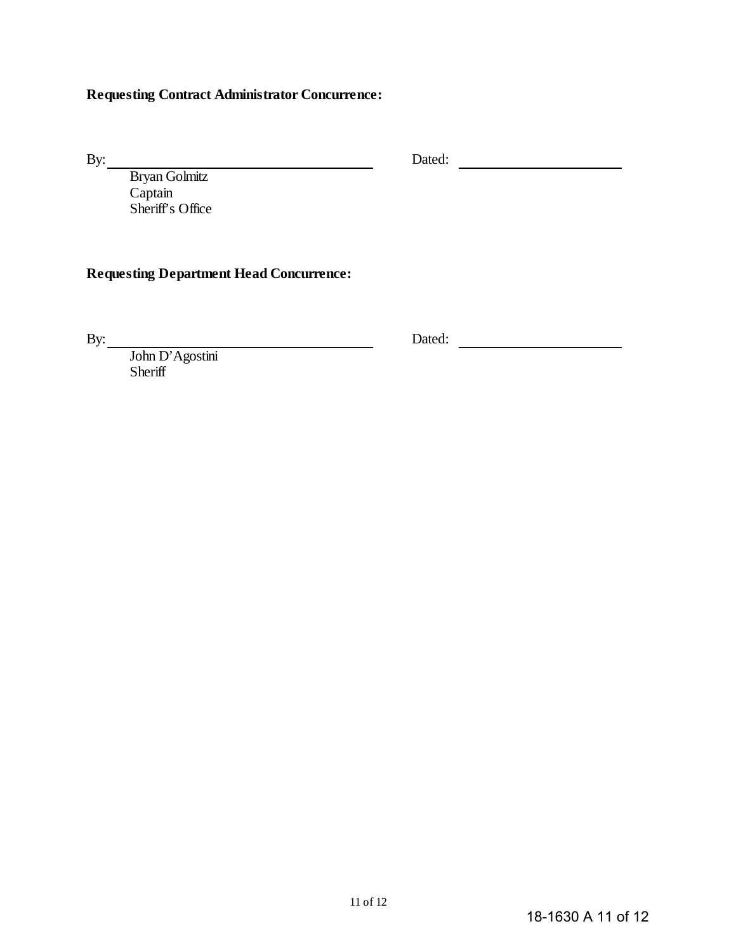# **Requesting Contract Administrator Concurrence:**

By: Dated:

Bryan Golmitz Captain Sheriff's Office

# **Requesting Department Head Concurrence:**

John D'Agostini **Sheriff** 

By: Dated: